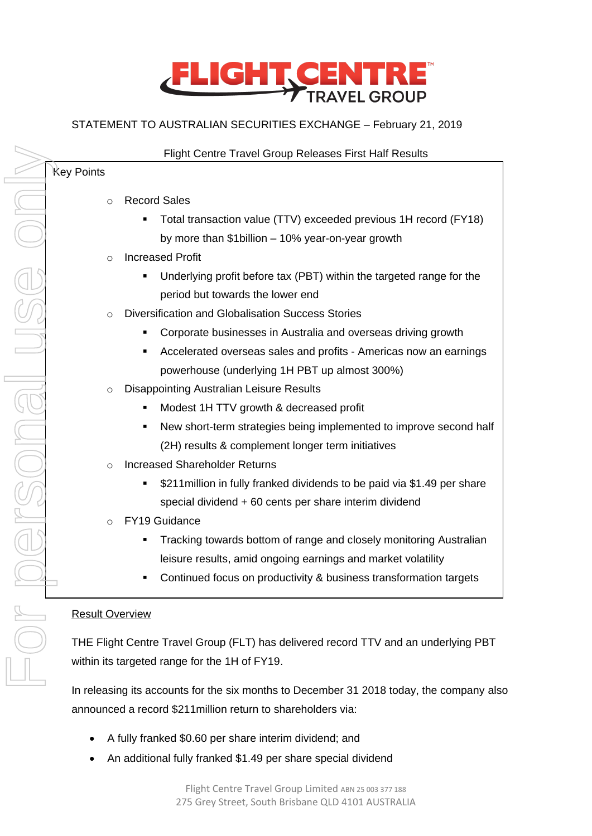

# STATEMENT TO AUSTRALIAN SECURITIES EXCHANGE – February 21, 2019

| $\Omega$<br>$\circ$<br>$\Omega$<br>$\circ$ | <b>Record Sales</b><br>Total transaction value (TTV) exceeded previous 1H record (FY18)<br>by more than \$1billion - 10% year-on-year growth<br><b>Increased Profit</b><br>Underlying profit before tax (PBT) within the targeted range for the<br>period but towards the lower end<br>Diversification and Globalisation Success Stories<br>Corporate businesses in Australia and overseas driving growth<br>Accelerated overseas sales and profits - Americas now an earnings<br>٠<br>powerhouse (underlying 1H PBT up almost 300%)<br><b>Disappointing Australian Leisure Results</b><br>Modest 1H TTV growth & decreased profit |
|--------------------------------------------|------------------------------------------------------------------------------------------------------------------------------------------------------------------------------------------------------------------------------------------------------------------------------------------------------------------------------------------------------------------------------------------------------------------------------------------------------------------------------------------------------------------------------------------------------------------------------------------------------------------------------------|
|                                            |                                                                                                                                                                                                                                                                                                                                                                                                                                                                                                                                                                                                                                    |
|                                            |                                                                                                                                                                                                                                                                                                                                                                                                                                                                                                                                                                                                                                    |
|                                            |                                                                                                                                                                                                                                                                                                                                                                                                                                                                                                                                                                                                                                    |
|                                            |                                                                                                                                                                                                                                                                                                                                                                                                                                                                                                                                                                                                                                    |
|                                            |                                                                                                                                                                                                                                                                                                                                                                                                                                                                                                                                                                                                                                    |
|                                            |                                                                                                                                                                                                                                                                                                                                                                                                                                                                                                                                                                                                                                    |
|                                            |                                                                                                                                                                                                                                                                                                                                                                                                                                                                                                                                                                                                                                    |
|                                            |                                                                                                                                                                                                                                                                                                                                                                                                                                                                                                                                                                                                                                    |
|                                            |                                                                                                                                                                                                                                                                                                                                                                                                                                                                                                                                                                                                                                    |
|                                            |                                                                                                                                                                                                                                                                                                                                                                                                                                                                                                                                                                                                                                    |
|                                            |                                                                                                                                                                                                                                                                                                                                                                                                                                                                                                                                                                                                                                    |
|                                            |                                                                                                                                                                                                                                                                                                                                                                                                                                                                                                                                                                                                                                    |
|                                            | New short-term strategies being implemented to improve second half<br>٠                                                                                                                                                                                                                                                                                                                                                                                                                                                                                                                                                            |
|                                            | (2H) results & complement longer term initiatives                                                                                                                                                                                                                                                                                                                                                                                                                                                                                                                                                                                  |
| $\circ$                                    | <b>Increased Shareholder Returns</b>                                                                                                                                                                                                                                                                                                                                                                                                                                                                                                                                                                                               |
|                                            | \$211 million in fully franked dividends to be paid via \$1.49 per share                                                                                                                                                                                                                                                                                                                                                                                                                                                                                                                                                           |
|                                            | special dividend + 60 cents per share interim dividend                                                                                                                                                                                                                                                                                                                                                                                                                                                                                                                                                                             |
| $\circ$                                    | FY19 Guidance                                                                                                                                                                                                                                                                                                                                                                                                                                                                                                                                                                                                                      |
|                                            | Tracking towards bottom of range and closely monitoring Australian<br>٠                                                                                                                                                                                                                                                                                                                                                                                                                                                                                                                                                            |
|                                            | leisure results, amid ongoing earnings and market volatility                                                                                                                                                                                                                                                                                                                                                                                                                                                                                                                                                                       |
|                                            | Continued focus on productivity & business transformation targets                                                                                                                                                                                                                                                                                                                                                                                                                                                                                                                                                                  |
|                                            | <b>Result Overview</b>                                                                                                                                                                                                                                                                                                                                                                                                                                                                                                                                                                                                             |

within its targeted range for the 1H of FY19.

In releasing its accounts for the six months to December 31 2018 today, the company also announced a record \$211million return to shareholders via:

- A fully franked \$0.60 per share interim dividend; and
- An additional fully franked \$1.49 per share special dividend

 $\overline{\phantom{a}}$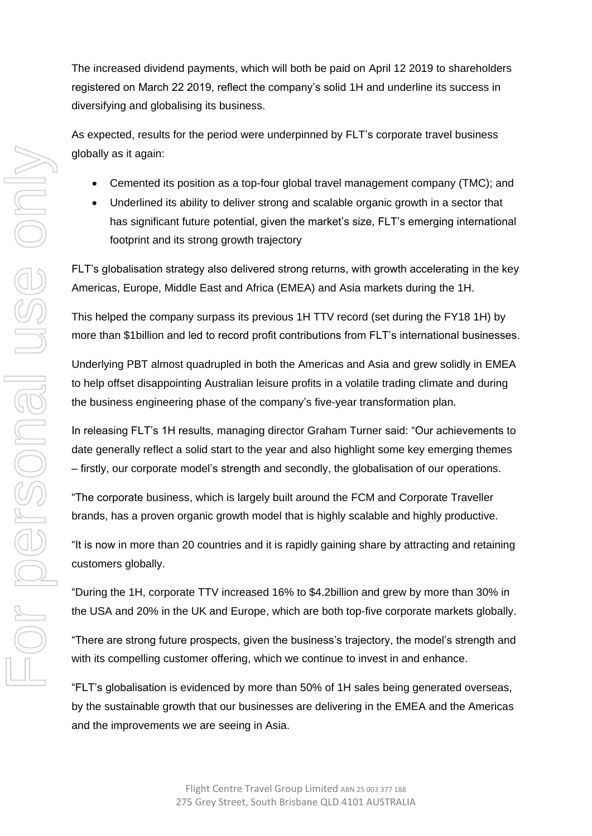The increased dividend payments, which will both be paid on April 12 2019 to shareholders registered on March 22 2019, reflect the company's solid 1H and underline its success in diversifying and globalising its business.

As expected, results for the period were underpinned by FLT's corporate travel business globally as it again:

- Cemented its position as a top-four global travel management company (TMC); and
- Underlined its ability to deliver strong and scalable organic growth in a sector that has significant future potential, given the market's size, FLT's emerging international footprint and its strong growth trajectory

FLT's globalisation strategy also delivered strong returns, with growth accelerating in the key Americas, Europe, Middle East and Africa (EMEA) and Asia markets during the 1H.

This helped the company surpass its previous 1H TTV record (set during the FY18 1H) by more than \$1billion and led to record profit contributions from FLT's international businesses.

Underlying PBT almost quadrupled in both the Americas and Asia and grew solidly in EMEA to help offset disappointing Australian leisure profits in a volatile trading climate and during the business engineering phase of the company's five-year transformation plan.

In releasing FLT's 1H results, managing director Graham Turner said: "Our achievements to date generally reflect a solid start to the year and also highlight some key emerging themes – firstly, our corporate model's strength and secondly, the globalisation of our operations.

"The corporate business, which is largely built around the FCM and Corporate Traveller brands, has a proven organic growth model that is highly scalable and highly productive.

"It is now in more than 20 countries and it is rapidly gaining share by attracting and retaining customers globally.

"During the 1H, corporate TTV increased 16% to \$4.2billion and grew by more than 30% in the USA and 20% in the UK and Europe, which are both top-five corporate markets globally.

"There are strong future prospects, given the business's trajectory, the model's strength and with its compelling customer offering, which we continue to invest in and enhance.

"FLT's globalisation is evidenced by more than 50% of 1H sales being generated overseas, by the sustainable growth that our businesses are delivering in the EMEA and the Americas and the improvements we are seeing in Asia.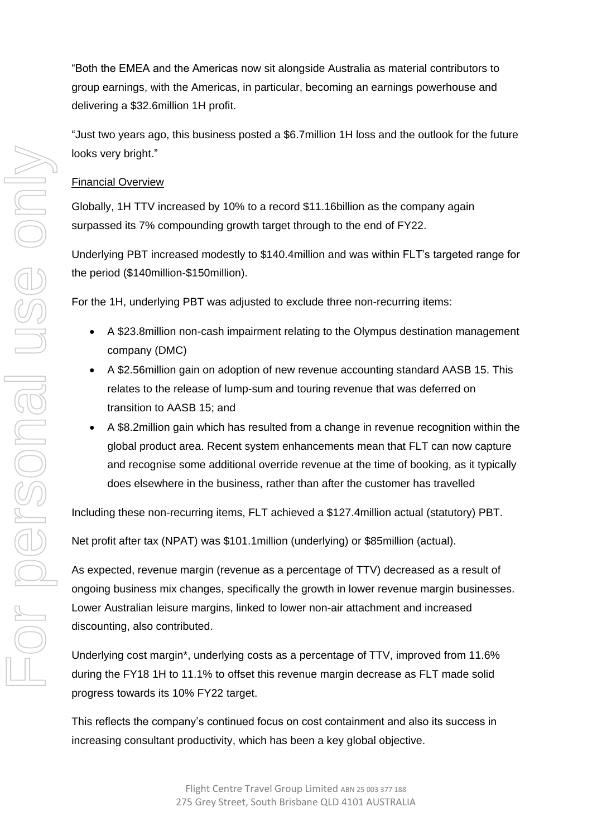"Both the EMEA and the Americas now sit alongside Australia as material contributors to group earnings, with the Americas, in particular, becoming an earnings powerhouse and delivering a \$32.6million 1H profit.

"Just two years ago, this business posted a \$6.7million 1H loss and the outlook for the future looks very bright."

## Financial Overview

Globally, 1H TTV increased by 10% to a record \$11.16billion as the company again surpassed its 7% compounding growth target through to the end of FY22.

Underlying PBT increased modestly to \$140.4million and was within FLT's targeted range for the period (\$140million-\$150million).

For the 1H, underlying PBT was adjusted to exclude three non-recurring items:

- A \$23.8million non-cash impairment relating to the Olympus destination management company (DMC)
- A \$2.56million gain on adoption of new revenue accounting standard AASB 15. This relates to the release of lump-sum and touring revenue that was deferred on transition to AASB 15; and
- A \$8.2million gain which has resulted from a change in revenue recognition within the global product area. Recent system enhancements mean that FLT can now capture and recognise some additional override revenue at the time of booking, as it typically does elsewhere in the business, rather than after the customer has travelled

Including these non-recurring items, FLT achieved a \$127.4million actual (statutory) PBT.

Net profit after tax (NPAT) was \$101.1million (underlying) or \$85million (actual).

As expected, revenue margin (revenue as a percentage of TTV) decreased as a result of ongoing business mix changes, specifically the growth in lower revenue margin businesses. Lower Australian leisure margins, linked to lower non-air attachment and increased discounting, also contributed.

Underlying cost margin\*, underlying costs as a percentage of TTV, improved from 11.6% during the FY18 1H to 11.1% to offset this revenue margin decrease as FLT made solid progress towards its 10% FY22 target.

This reflects the company's continued focus on cost containment and also its success in increasing consultant productivity, which has been a key global objective.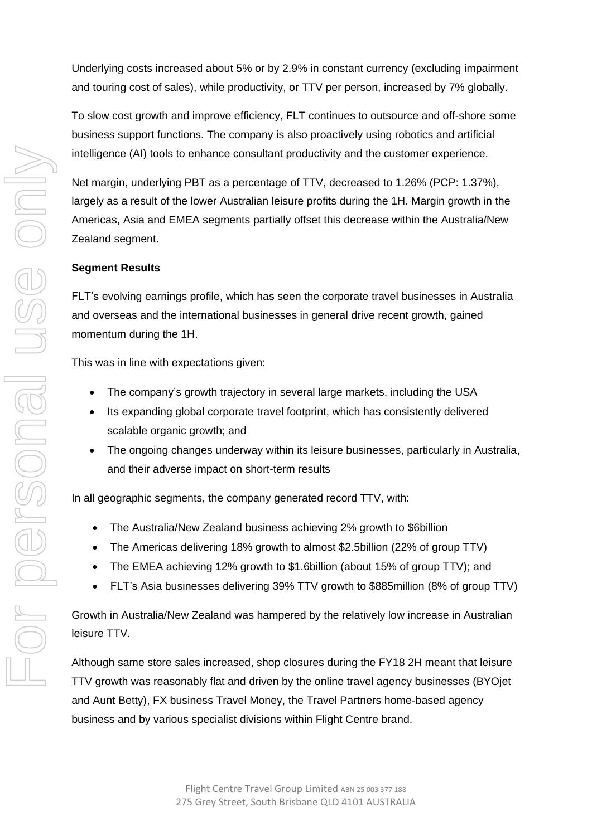Underlying costs increased about 5% or by 2.9% in constant currency (excluding impairment and touring cost of sales), while productivity, or TTV per person, increased by 7% globally.

To slow cost growth and improve efficiency, FLT continues to outsource and off-shore some business support functions. The company is also proactively using robotics and artificial intelligence (AI) tools to enhance consultant productivity and the customer experience.

Net margin, underlying PBT as a percentage of TTV, decreased to 1.26% (PCP: 1.37%), largely as a result of the lower Australian leisure profits during the 1H. Margin growth in the Americas, Asia and EMEA segments partially offset this decrease within the Australia/New Zealand segment.

#### **Segment Results**

FLT's evolving earnings profile, which has seen the corporate travel businesses in Australia and overseas and the international businesses in general drive recent growth, gained momentum during the 1H.

This was in line with expectations given:

- The company's growth trajectory in several large markets, including the USA
- Its expanding global corporate travel footprint, which has consistently delivered scalable organic growth; and
- The ongoing changes underway within its leisure businesses, particularly in Australia, and their adverse impact on short-term results

In all geographic segments, the company generated record TTV, with:

- The Australia/New Zealand business achieving 2% growth to \$6billion
- The Americas delivering 18% growth to almost \$2.5billion (22% of group TTV)
- The EMEA achieving 12% growth to \$1.6billion (about 15% of group TTV); and
- FLT's Asia businesses delivering 39% TTV growth to \$885million (8% of group TTV)

Growth in Australia/New Zealand was hampered by the relatively low increase in Australian leisure TTV.

Although same store sales increased, shop closures during the FY18 2H meant that leisure TTV growth was reasonably flat and driven by the online travel agency businesses (BYOjet and Aunt Betty), FX business Travel Money, the Travel Partners home-based agency business and by various specialist divisions within Flight Centre brand.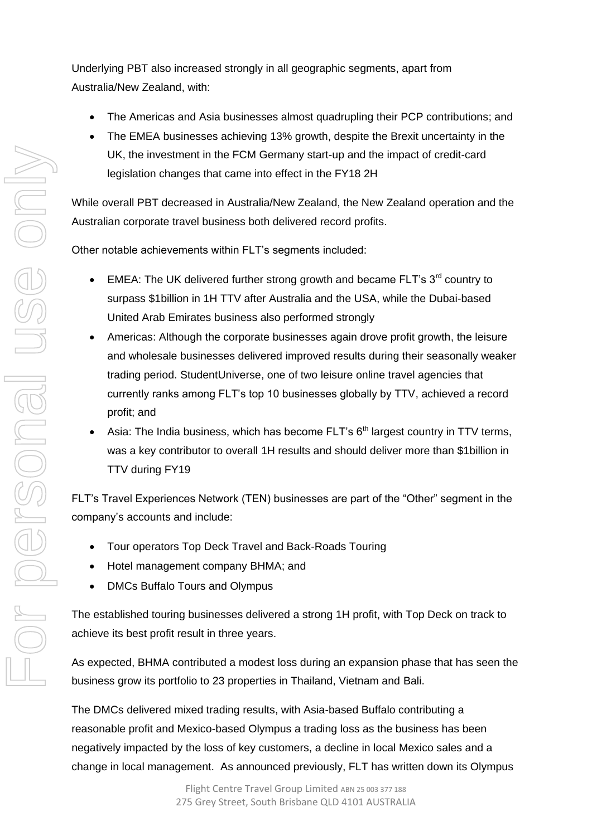Underlying PBT also increased strongly in all geographic segments, apart from Australia/New Zealand, with:

- The Americas and Asia businesses almost quadrupling their PCP contributions; and
- The EMEA businesses achieving 13% growth, despite the Brexit uncertainty in the UK, the investment in the FCM Germany start-up and the impact of credit-card legislation changes that came into effect in the FY18 2H

While overall PBT decreased in Australia/New Zealand, the New Zealand operation and the Australian corporate travel business both delivered record profits.

Other notable achievements within FLT's segments included:

- EMEA: The UK delivered further strong growth and became FLT's  $3<sup>rd</sup>$  country to surpass \$1billion in 1H TTV after Australia and the USA, while the Dubai-based United Arab Emirates business also performed strongly
- Americas: Although the corporate businesses again drove profit growth, the leisure and wholesale businesses delivered improved results during their seasonally weaker trading period. StudentUniverse, one of two leisure online travel agencies that currently ranks among FLT's top 10 businesses globally by TTV, achieved a record profit; and
- Asia: The India business, which has become  $FLT's 6<sup>th</sup>$  largest country in TTV terms, was a key contributor to overall 1H results and should deliver more than \$1billion in TTV during FY19

FLT's Travel Experiences Network (TEN) businesses are part of the "Other" segment in the company's accounts and include:

- Tour operators Top Deck Travel and Back-Roads Touring
- Hotel management company BHMA; and
- DMCs Buffalo Tours and Olympus

The established touring businesses delivered a strong 1H profit, with Top Deck on track to achieve its best profit result in three years.

As expected, BHMA contributed a modest loss during an expansion phase that has seen the business grow its portfolio to 23 properties in Thailand, Vietnam and Bali.

The DMCs delivered mixed trading results, with Asia-based Buffalo contributing a reasonable profit and Mexico-based Olympus a trading loss as the business has been negatively impacted by the loss of key customers, a decline in local Mexico sales and a change in local management. As announced previously, FLT has written down its Olympus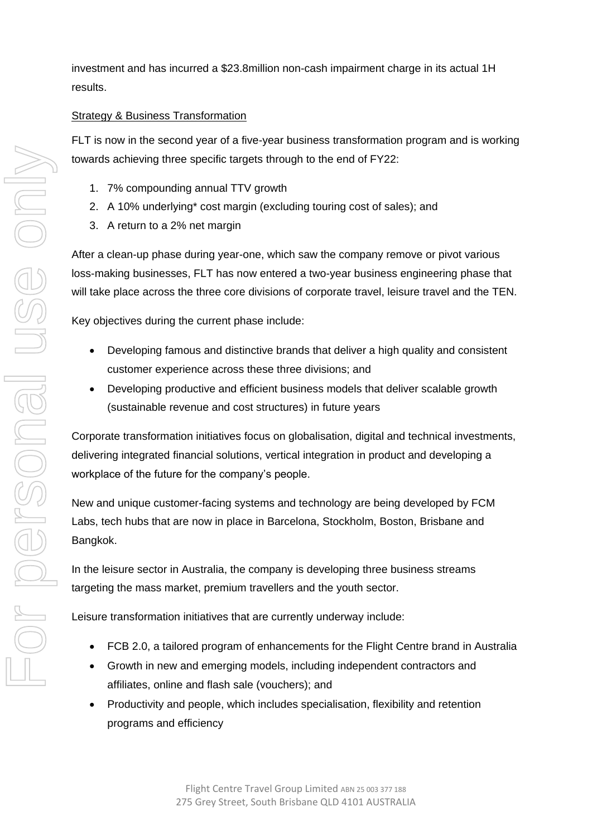investment and has incurred a \$23.8million non-cash impairment charge in its actual 1H results.

# Strategy & Business Transformation

FLT is now in the second year of a five-year business transformation program and is working towards achieving three specific targets through to the end of FY22:

- 1. 7% compounding annual TTV growth
- 2. A 10% underlying\* cost margin (excluding touring cost of sales); and
- 3. A return to a 2% net margin

After a clean-up phase during year-one, which saw the company remove or pivot various loss-making businesses, FLT has now entered a two-year business engineering phase that will take place across the three core divisions of corporate travel, leisure travel and the TEN.

Key objectives during the current phase include:

- Developing famous and distinctive brands that deliver a high quality and consistent customer experience across these three divisions; and
- Developing productive and efficient business models that deliver scalable growth (sustainable revenue and cost structures) in future years

Corporate transformation initiatives focus on globalisation, digital and technical investments, delivering integrated financial solutions, vertical integration in product and developing a workplace of the future for the company's people.

New and unique customer-facing systems and technology are being developed by FCM Labs, tech hubs that are now in place in Barcelona, Stockholm, Boston, Brisbane and Bangkok.

In the leisure sector in Australia, the company is developing three business streams targeting the mass market, premium travellers and the youth sector.

Leisure transformation initiatives that are currently underway include:

- FCB 2.0, a tailored program of enhancements for the Flight Centre brand in Australia
- Growth in new and emerging models, including independent contractors and affiliates, online and flash sale (vouchers); and
- Productivity and people, which includes specialisation, flexibility and retention programs and efficiency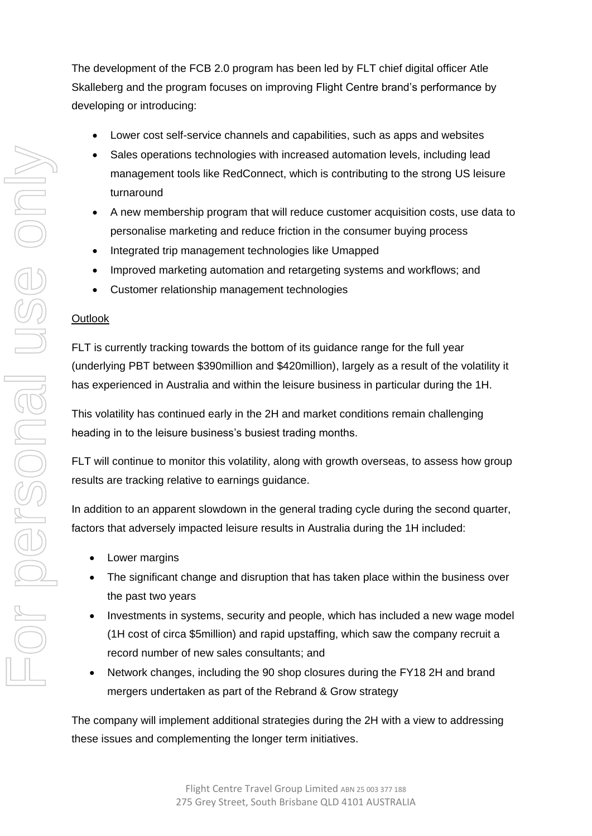The development of the FCB 2.0 program has been led by FLT chief digital officer Atle Skalleberg and the program focuses on improving Flight Centre brand's performance by developing or introducing:

- Lower cost self-service channels and capabilities, such as apps and websites
- Sales operations technologies with increased automation levels, including lead management tools like RedConnect, which is contributing to the strong US leisure turnaround
- A new membership program that will reduce customer acquisition costs, use data to personalise marketing and reduce friction in the consumer buying process
- Integrated trip management technologies like Umapped
- Improved marketing automation and retargeting systems and workflows; and
- Customer relationship management technologies

# **Outlook**

FLT is currently tracking towards the bottom of its guidance range for the full year (underlying PBT between \$390million and \$420million), largely as a result of the volatility it has experienced in Australia and within the leisure business in particular during the 1H.

This volatility has continued early in the 2H and market conditions remain challenging heading in to the leisure business's busiest trading months.

FLT will continue to monitor this volatility, along with growth overseas, to assess how group results are tracking relative to earnings guidance.

In addition to an apparent slowdown in the general trading cycle during the second quarter, factors that adversely impacted leisure results in Australia during the 1H included:

- Lower margins
- The significant change and disruption that has taken place within the business over the past two years
- Investments in systems, security and people, which has included a new wage model (1H cost of circa \$5million) and rapid upstaffing, which saw the company recruit a record number of new sales consultants; and
- Network changes, including the 90 shop closures during the FY18 2H and brand mergers undertaken as part of the Rebrand & Grow strategy

The company will implement additional strategies during the 2H with a view to addressing these issues and complementing the longer term initiatives.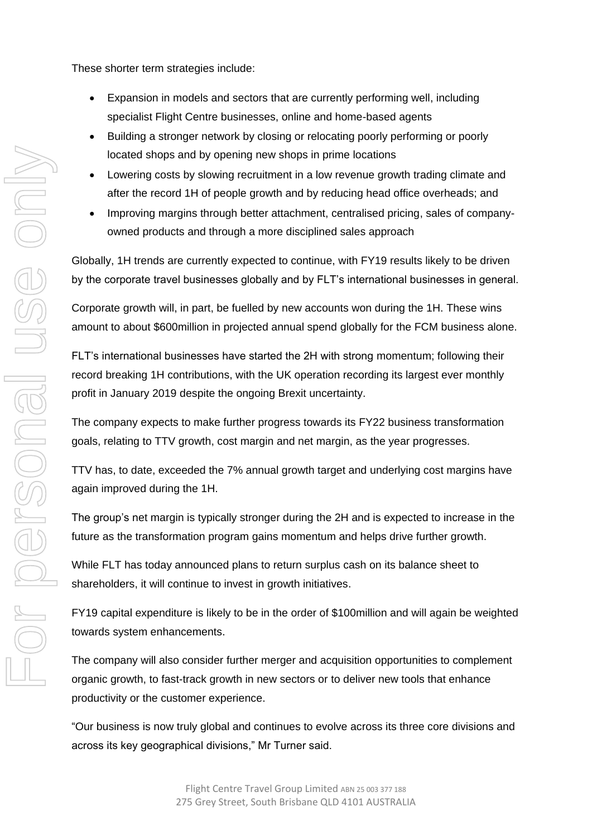These shorter term strategies include:

- Expansion in models and sectors that are currently performing well, including specialist Flight Centre businesses, online and home-based agents
- Building a stronger network by closing or relocating poorly performing or poorly located shops and by opening new shops in prime locations
- Lowering costs by slowing recruitment in a low revenue growth trading climate and after the record 1H of people growth and by reducing head office overheads; and
- Improving margins through better attachment, centralised pricing, sales of companyowned products and through a more disciplined sales approach

Globally, 1H trends are currently expected to continue, with FY19 results likely to be driven by the corporate travel businesses globally and by FLT's international businesses in general.

Corporate growth will, in part, be fuelled by new accounts won during the 1H. These wins amount to about \$600million in projected annual spend globally for the FCM business alone.

FLT's international businesses have started the 2H with strong momentum; following their record breaking 1H contributions, with the UK operation recording its largest ever monthly profit in January 2019 despite the ongoing Brexit uncertainty.

The company expects to make further progress towards its FY22 business transformation goals, relating to TTV growth, cost margin and net margin, as the year progresses.

TTV has, to date, exceeded the 7% annual growth target and underlying cost margins have again improved during the 1H.

The group's net margin is typically stronger during the 2H and is expected to increase in the future as the transformation program gains momentum and helps drive further growth.

While FLT has today announced plans to return surplus cash on its balance sheet to shareholders, it will continue to invest in growth initiatives.

FY19 capital expenditure is likely to be in the order of \$100million and will again be weighted towards system enhancements.

The company will also consider further merger and acquisition opportunities to complement organic growth, to fast-track growth in new sectors or to deliver new tools that enhance productivity or the customer experience.

"Our business is now truly global and continues to evolve across its three core divisions and across its key geographical divisions," Mr Turner said.